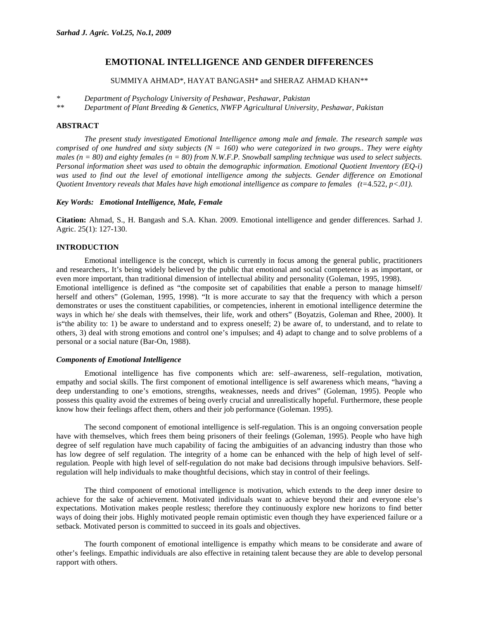# **EMOTIONAL INTELLIGENCE AND GENDER DIFFERENCES**

SUMMIYA AHMAD\*, HAYAT BANGASH\* and SHERAZ AHMAD KHAN\*\*

*\* Department of Psychology University of Peshawar, Peshawar, Pakistan* 

*\*\* Department of Plant Breeding & Genetics, NWFP Agricultural University, Peshawar, Pakistan* 

### **ABSTRACT**

*The present study investigated Emotional Intelligence among male and female. The research sample was comprised of one hundred and sixty subjects (N = 160) who were categorized in two groups.. They were eighty males (n = 80) and eighty females (n = 80) from N.W.F.P. Snowball sampling technique was used to select subjects. Personal information sheet was used to obtain the demographic information. Emotional Quotient Inventory (EQ-i)*  was used to find out the level of emotional intelligence among the subjects. Gender difference on Emotional *Quotient Inventory reveals that Males have high emotional intelligence as compare to females (t=*4.522, *p<.01).* 

# *Key Words: Emotional Intelligence, Male, Female*

**Citation:** Ahmad, S., H. Bangash and S.A. Khan. 2009. Emotional intelligence and gender differences. Sarhad J. Agric. 25(1): 127-130.

## **INTRODUCTION**

Emotional intelligence is the concept, which is currently in focus among the general public, practitioners and researchers,. It's being widely believed by the public that emotional and social competence is as important, or even more important, than traditional dimension of intellectual ability and personality (Goleman, 1995, 1998). Emotional intelligence is defined as "the composite set of capabilities that enable a person to manage himself/ herself and others" (Goleman, 1995, 1998). "It is more accurate to say that the frequency with which a person demonstrates or uses the constituent capabilities, or competencies, inherent in emotional intelligence determine the ways in which he/ she deals with themselves, their life, work and others" (Boyatzis, Goleman and Rhee, 2000). It is"the ability to: 1) be aware to understand and to express oneself; 2) be aware of, to understand, and to relate to others, 3) deal with strong emotions and control one's impulses; and 4) adapt to change and to solve problems of a personal or a social nature (Bar-On, 1988).

### *Components of Emotional Intelligence*

Emotional intelligence has five components which are: self–awareness, self–regulation, motivation, empathy and social skills. The first component of emotional intelligence is self awareness which means, "having a deep understanding to one's emotions, strengths, weaknesses, needs and drives" (Goleman, 1995). People who possess this quality avoid the extremes of being overly crucial and unrealistically hopeful. Furthermore, these people know how their feelings affect them, others and their job performance (Goleman. 1995).

The second component of emotional intelligence is self-regulation. This is an ongoing conversation people have with themselves, which frees them being prisoners of their feelings (Goleman, 1995). People who have high degree of self regulation have much capability of facing the ambiguities of an advancing industry than those who has low degree of self regulation. The integrity of a home can be enhanced with the help of high level of selfregulation. People with high level of self-regulation do not make bad decisions through impulsive behaviors. Selfregulation will help individuals to make thoughtful decisions, which stay in control of their feelings.

The third component of emotional intelligence is motivation, which extends to the deep inner desire to achieve for the sake of achievement. Motivated individuals want to achieve beyond their and everyone else's expectations. Motivation makes people restless; therefore they continuously explore new horizons to find better ways of doing their jobs. Highly motivated people remain optimistic even though they have experienced failure or a setback. Motivated person is committed to succeed in its goals and objectives.

The fourth component of emotional intelligence is empathy which means to be considerate and aware of other's feelings. Empathic individuals are also effective in retaining talent because they are able to develop personal rapport with others.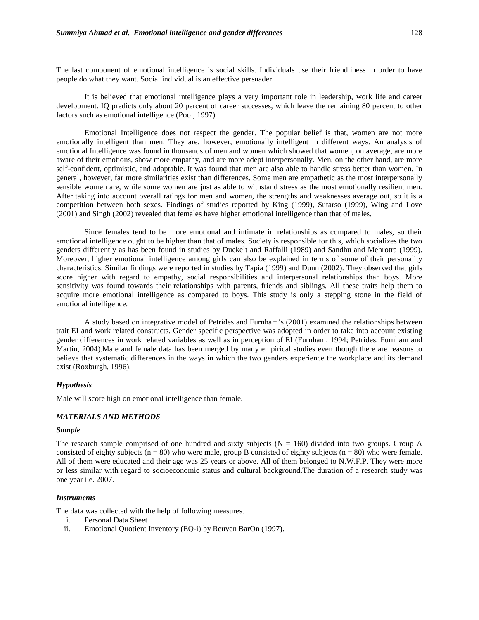The last component of emotional intelligence is social skills. Individuals use their friendliness in order to have people do what they want. Social individual is an effective persuader.

It is believed that emotional intelligence plays a very important role in leadership, work life and career development. IQ predicts only about 20 percent of career successes, which leave the remaining 80 percent to other factors such as emotional intelligence (Pool, 1997).

Emotional Intelligence does not respect the gender. The popular belief is that, women are not more emotionally intelligent than men. They are, however, emotionally intelligent in different ways. An analysis of emotional Intelligence was found in thousands of men and women which showed that women, on average, are more aware of their emotions, show more empathy, and are more adept interpersonally. Men, on the other hand, are more self-confident, optimistic, and adaptable. It was found that men are also able to handle stress better than women. In general, however, far more similarities exist than differences. Some men are empathetic as the most interpersonally sensible women are, while some women are just as able to withstand stress as the most emotionally resilient men. After taking into account overall ratings for men and women, the strengths and weaknesses average out, so it is a competition between both sexes. Findings of studies reported by King (1999), Sutarso (1999), Wing and Love (2001) and Singh (2002) revealed that females have higher emotional intelligence than that of males.

 Since females tend to be more emotional and intimate in relationships as compared to males, so their emotional intelligence ought to be higher than that of males. Society is responsible for this, which socializes the two genders differently as has been found in studies by Duckelt and Raffalli (1989) and Sandhu and Mehrotra (1999). Moreover, higher emotional intelligence among girls can also be explained in terms of some of their personality characteristics. Similar findings were reported in studies by Tapia (1999) and Dunn (2002). They observed that girls score higher with regard to empathy, social responsibilities and interpersonal relationships than boys. More sensitivity was found towards their relationships with parents, friends and siblings. All these traits help them to acquire more emotional intelligence as compared to boys. This study is only a stepping stone in the field of emotional intelligence.

A study based on integrative model of Petrides and Furnham's (2001) examined the relationships between trait EI and work related constructs. Gender specific perspective was adopted in order to take into account existing gender differences in work related variables as well as in perception of EI (Furnham, 1994; Petrides, Furnham and Martin, 2004).Male and female data has been merged by many empirical studies even though there are reasons to believe that systematic differences in the ways in which the two genders experience the workplace and its demand exist (Roxburgh, 1996).

# *Hypothesis*

Male will score high on emotional intelligence than female.

# *MATERIALS AND METHODS*

### *Sample*

The research sample comprised of one hundred and sixty subjects  $(N = 160)$  divided into two groups. Group A consisted of eighty subjects ( $n = 80$ ) who were male, group B consisted of eighty subjects ( $n = 80$ ) who were female. All of them were educated and their age was 25 years or above. All of them belonged to N.W.F.P. They were more or less similar with regard to socioeconomic status and cultural background.The duration of a research study was one year i.e. 2007.

#### *Instruments*

The data was collected with the help of following measures.

- i. Personal Data Sheet
- ii. Emotional Quotient Inventory (EQ-i) by Reuven BarOn (1997).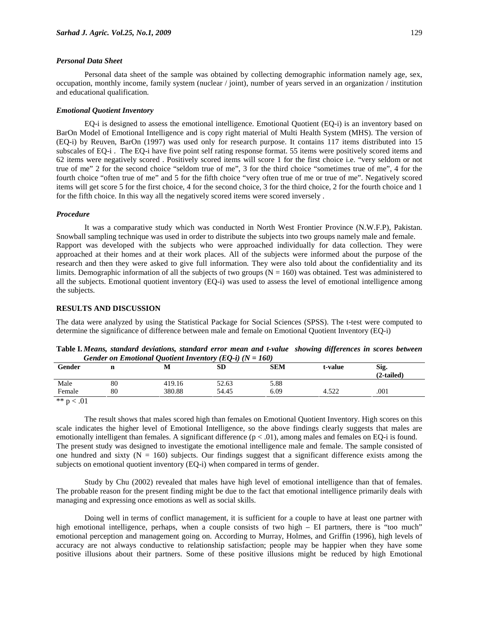### *Personal Data Sheet*

Personal data sheet of the sample was obtained by collecting demographic information namely age, sex, occupation, monthly income, family system (nuclear / joint), number of years served in an organization / institution and educational qualification.

### *Emotional Quotient Inventory*

EQ-i is designed to assess the emotional intelligence. Emotional Quotient (EQ-i) is an inventory based on BarOn Model of Emotional Intelligence and is copy right material of Multi Health System (MHS). The version of (EQ-i) by Reuven, BarOn (1997) was used only for research purpose. It contains 117 items distributed into 15 subscales of EQ-i . The EQ-i have five point self rating response format. 55 items were positively scored items and 62 items were negatively scored . Positively scored items will score 1 for the first choice i.e. "very seldom or not true of me" 2 for the second choice "seldom true of me", 3 for the third choice "sometimes true of me", 4 for the fourth choice "often true of me" and 5 for the fifth choice "very often true of me or true of me". Negatively scored items will get score 5 for the first choice, 4 for the second choice, 3 for the third choice, 2 for the fourth choice and 1 for the fifth choice. In this way all the negatively scored items were scored inversely .

### *Procedure*

It was a comparative study which was conducted in North West Frontier Province (N.W.F.P), Pakistan. Snowball sampling technique was used in order to distribute the subjects into two groups namely male and female. Rapport was developed with the subjects who were approached individually for data collection. They were approached at their homes and at their work places. All of the subjects were informed about the purpose of the research and then they were asked to give full information. They were also told about the confidentiality and its limits. Demographic information of all the subjects of two groups  $(N = 160)$  was obtained. Test was administered to all the subjects. Emotional quotient inventory (EQ-i) was used to assess the level of emotional intelligence among the subjects.

# **RESULTS AND DISCUSSION**

The data were analyzed by using the Statistical Package for Social Sciences (SPSS). The t-test were computed to determine the significance of difference between male and female on Emotional Quotient Inventory (EQ-i)

| Gender on Emotional Quottent Inventory (EQ-t) ( $N = 100$ ) |    |        |       |            |         |                      |
|-------------------------------------------------------------|----|--------|-------|------------|---------|----------------------|
| Gender                                                      |    |        | SD    | <b>SEM</b> | t-value | Sig.<br>$(2-tailed)$ |
| Male                                                        | 80 | 419.16 | 52.63 | 5.88       |         |                      |
| Female                                                      | 80 | 380.88 | 54.45 | 6.09       | 4.522   | .001                 |

**Table I.** *Means, standard deviations, standard error mean and t-value showing differences in scores between Gender on Emotional Quotient Inventory (EQ-i) (N = 160)* 

\*\*  $p < .01$ 

The result shows that males scored high than females on Emotional Quotient Inventory. High scores on this scale indicates the higher level of Emotional Intelligence, so the above findings clearly suggests that males are emotionally intelligent than females. A significant difference  $(p < .01)$ , among males and females on EQ-i is found. The present study was designed to investigate the emotional intelligence male and female. The sample consisted of one hundred and sixty ( $N = 160$ ) subjects. Our findings suggest that a significant difference exists among the subjects on emotional quotient inventory (EQ-i) when compared in terms of gender.

Study by Chu (2002) revealed that males have high level of emotional intelligence than that of females. The probable reason for the present finding might be due to the fact that emotional intelligence primarily deals with managing and expressing once emotions as well as social skills.

Doing well in terms of conflict management, it is sufficient for a couple to have at least one partner with high emotional intelligence, perhaps, when a couple consists of two high – EI partners, there is "too much" emotional perception and management going on. According to Murray, Holmes, and Griffin (1996), high levels of accuracy are not always conductive to relationship satisfaction; people may be happier when they have some positive illusions about their partners. Some of these positive illusions might be reduced by high Emotional